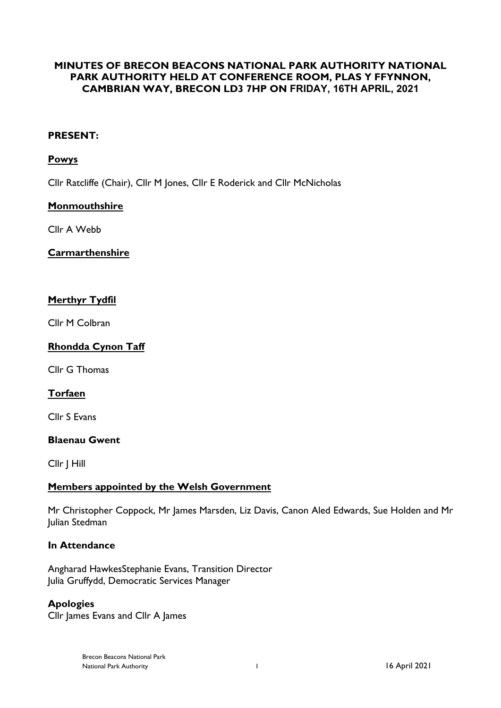# **MINUTES OF BRECON BEACONS NATIONAL PARK AUTHORITY NATIONAL PARK AUTHORITY HELD AT CONFERENCE ROOM, PLAS Y FFYNNON, CAMBRIAN WAY, BRECON LD3 7HP ON FRIDAY, 16TH APRIL, 2021**

### **PRESENT:**

#### **Powys**

Cllr Ratcliffe (Chair), Cllr M Jones, Cllr E Roderick and Cllr McNicholas

### **Monmouthshire**

Cllr A Webb

## **Carmarthenshire**

### **Merthyr Tydfil**

Cllr M Colbran

## **Rhondda Cynon Taff**

Cllr G Thomas

## **Torfaen**

Cllr S Evans

#### **Blaenau Gwent**

Cllr J Hill

#### **Members appointed by the Welsh Government**

Mr Christopher Coppock, Mr James Marsden, Liz Davis, Canon Aled Edwards, Sue Holden and Mr Julian Stedman

## **In Attendance**

Angharad HawkesStephanie Evans, Transition Director Julia Gruffydd, Democratic Services Manager

#### **Apologies**

Cllr James Evans and Cllr A James

Brecon Beacons National Park National Park Authority 1 16 April 2021 1 16 April 2021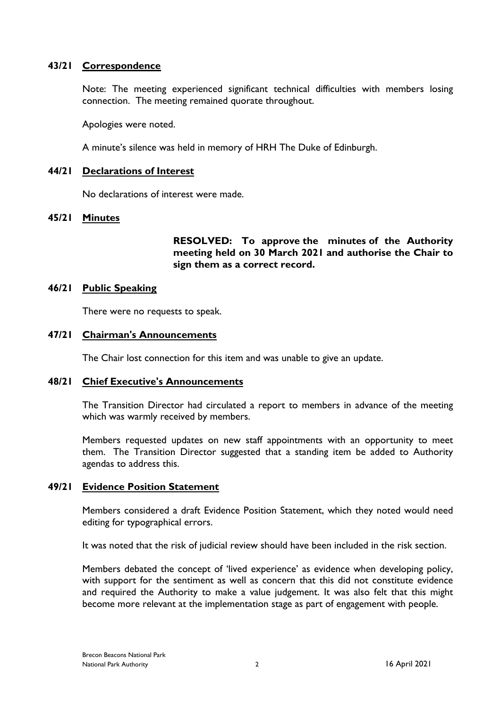## **43/21 Correspondence**

Note: The meeting experienced significant technical difficulties with members losing connection. The meeting remained quorate throughout.

Apologies were noted.

A minute's silence was held in memory of HRH The Duke of Edinburgh.

#### **44/21 Declarations of Interest**

No declarations of interest were made.

#### **45/21 Minutes**

**RESOLVED: To approve the minutes of the Authority meeting held on 30 March 2021 and authorise the Chair to sign them as a correct record.**

#### **46/21 Public Speaking**

There were no requests to speak.

#### **47/21 Chairman's Announcements**

The Chair lost connection for this item and was unable to give an update.

#### **48/21 Chief Executive's Announcements**

The Transition Director had circulated a report to members in advance of the meeting which was warmly received by members.

Members requested updates on new staff appointments with an opportunity to meet them. The Transition Director suggested that a standing item be added to Authority agendas to address this.

#### **49/21 Evidence Position Statement**

Members considered a draft Evidence Position Statement, which they noted would need editing for typographical errors.

It was noted that the risk of judicial review should have been included in the risk section.

Members debated the concept of 'lived experience' as evidence when developing policy, with support for the sentiment as well as concern that this did not constitute evidence and required the Authority to make a value judgement. It was also felt that this might become more relevant at the implementation stage as part of engagement with people.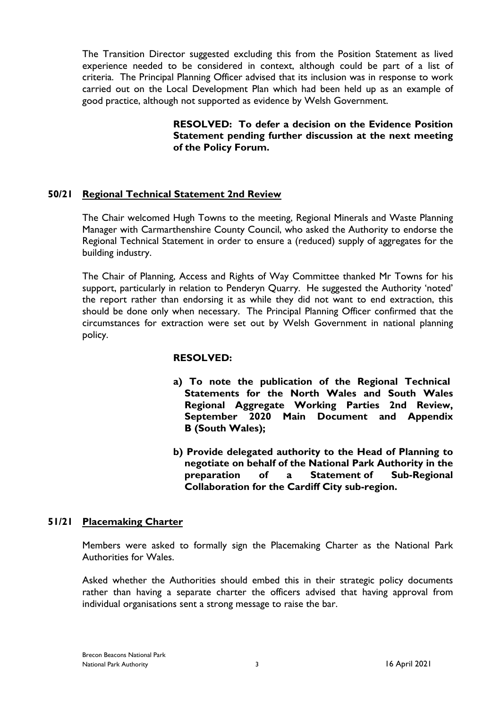The Transition Director suggested excluding this from the Position Statement as lived experience needed to be considered in context, although could be part of a list of criteria. The Principal Planning Officer advised that its inclusion was in response to work carried out on the Local Development Plan which had been held up as an example of good practice, although not supported as evidence by Welsh Government.

> **RESOLVED: To defer a decision on the Evidence Position Statement pending further discussion at the next meeting of the Policy Forum.**

# **50/21 Regional Technical Statement 2nd Review**

The Chair welcomed Hugh Towns to the meeting, Regional Minerals and Waste Planning Manager with Carmarthenshire County Council, who asked the Authority to endorse the Regional Technical Statement in order to ensure a (reduced) supply of aggregates for the building industry.

The Chair of Planning, Access and Rights of Way Committee thanked Mr Towns for his support, particularly in relation to Penderyn Quarry. He suggested the Authority 'noted' the report rather than endorsing it as while they did not want to end extraction, this should be done only when necessary. The Principal Planning Officer confirmed that the circumstances for extraction were set out by Welsh Government in national planning policy.

#### **RESOLVED:**

- **a) To note the publication of the Regional Technical Statements for the North Wales and South Wales Regional Aggregate Working Parties 2nd Review, September 2020 Main Document and Appendix B (South Wales);**
- **b) Provide delegated authority to the Head of Planning to negotiate on behalf of the National Park Authority in the preparation of a Statement of Sub-Regional Collaboration for the Cardiff City sub-region.**

## **51/21 Placemaking Charter**

Members were asked to formally sign the Placemaking Charter as the National Park Authorities for Wales.

Asked whether the Authorities should embed this in their strategic policy documents rather than having a separate charter the officers advised that having approval from individual organisations sent a strong message to raise the bar.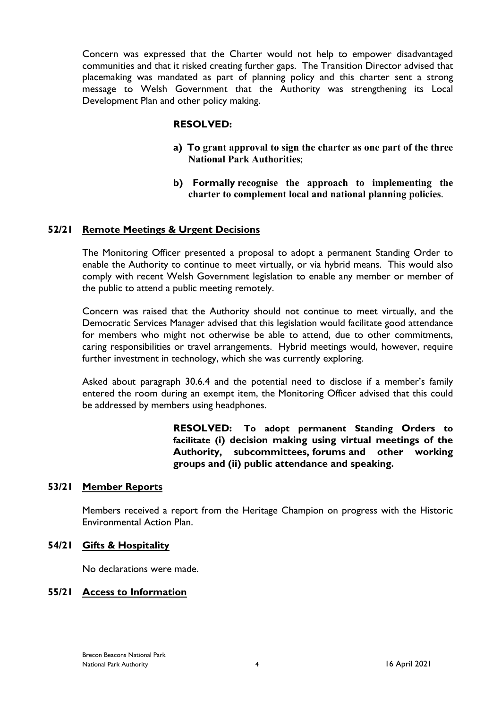Concern was expressed that the Charter would not help to empower disadvantaged communities and that it risked creating further gaps. The Transition Director advised that placemaking was mandated as part of planning policy and this charter sent a strong message to Welsh Government that the Authority was strengthening its Local Development Plan and other policy making.

### **RESOLVED:**

- **a) To grant approval to sign the charter as one part of the three National Park Authorities**;
- **b) Formally recognise the approach to implementing the charter to complement local and national planning policies**.

### **52/21 Remote Meetings & Urgent Decisions**

The Monitoring Officer presented a proposal to adopt a permanent Standing Order to enable the Authority to continue to meet virtually, or via hybrid means. This would also comply with recent Welsh Government legislation to enable any member or member of the public to attend a public meeting remotely.

Concern was raised that the Authority should not continue to meet virtually, and the Democratic Services Manager advised that this legislation would facilitate good attendance for members who might not otherwise be able to attend, due to other commitments, caring responsibilities or travel arrangements. Hybrid meetings would, however, require further investment in technology, which she was currently exploring.

Asked about paragraph 30.6.4 and the potential need to disclose if a member's family entered the room during an exempt item, the Monitoring Officer advised that this could be addressed by members using headphones.

> **RESOLVED: To adopt permanent Standing Orders to facilitate (i) decision making using virtual meetings of the Authority, subcommittees, forums and other working groups and (ii) public attendance and speaking.**

#### **53/21 Member Reports**

Members received a report from the Heritage Champion on progress with the Historic Environmental Action Plan.

# **54/21 Gifts & Hospitality**

No declarations were made.

#### **55/21 Access to Information**